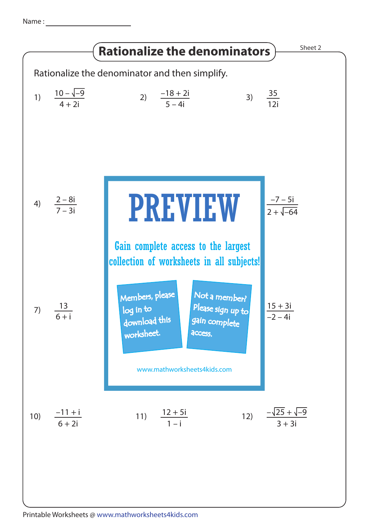Name :